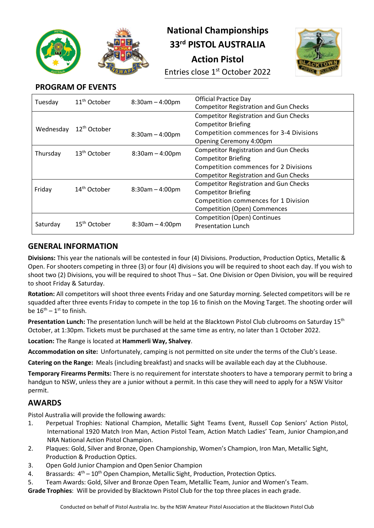

# **National Championships 33rd PISTOL AUSTRALIA**

**Action Pistol**

Entries close 1<sup>st</sup> October 2022



## **PROGRAM OF EVENTS**

| Tuesday   | 11 <sup>th</sup> October | $8:30am - 4:00pm$ | <b>Official Practice Day</b><br><b>Competitor Registration and Gun Checks</b> |
|-----------|--------------------------|-------------------|-------------------------------------------------------------------------------|
|           |                          |                   | <b>Competitor Registration and Gun Checks</b>                                 |
|           | 12 <sup>th</sup> October |                   | <b>Competitor Briefing</b>                                                    |
| Wednesday |                          | $8:30am - 4:00pm$ | Competition commences for 3-4 Divisions                                       |
|           |                          |                   | Opening Ceremony 4:00pm                                                       |
| Thursday  | $13th$ October           | $8:30am - 4:00pm$ | <b>Competitor Registration and Gun Checks</b>                                 |
|           |                          |                   | <b>Competitor Briefing</b>                                                    |
|           |                          |                   | Competition commences for 2 Divisions                                         |
|           |                          |                   | <b>Competitor Registration and Gun Checks</b>                                 |
| Friday    | $14th$ October           | $8:30am - 4:00pm$ | <b>Competitor Registration and Gun Checks</b>                                 |
|           |                          |                   | <b>Competitor Briefing</b>                                                    |
|           |                          |                   | Competition commences for 1 Division                                          |
|           |                          |                   | <b>Competition (Open) Commences</b>                                           |
|           |                          |                   | <b>Competition (Open) Continues</b>                                           |
| Saturday  | $15th$ October           | $8:30am - 4:00pm$ | <b>Presentation Lunch</b>                                                     |

### **GENERAL INFORMATION**

**Divisions:** This year the nationals will be contested in four (4) Divisions. Production, Production Optics, Metallic & Open. For shooters competing in three (3) or four (4) divisions you will be required to shoot each day. If you wish to shoot two (2) Divisions, you will be required to shoot Thus – Sat. One Division or Open Division, you will be required to shoot Friday & Saturday.

**Rotation:** All competitors will shoot three events Friday and one Saturday morning. Selected competitors will be re squadded after three events Friday to compete in the top 16 to finish on the Moving Target. The shooting order will be  $16^{th} - 1^{st}$  to finish.

**Presentation Lunch:** The presentation lunch will be held at the Blacktown Pistol Club clubrooms on Saturday 15th October, at 1:30pm. Tickets must be purchased at the same time as entry, no later than 1 October 2022.

**Location:** The Range is located at **Hammerli Way, Shalvey**.

**Accommodation on site:** Unfortunately, camping is not permitted on site under the terms of the Club's Lease.

**Catering on the Range:** Meals (including breakfast) and snacks will be available each day at the Clubhouse.

**Temporary Firearms Permits:** There is no requirement for interstate shooters to have a temporary permit to bring a handgun to NSW, unless they are a junior without a permit. In this case they will need to apply for a NSW Visitor permit.

#### **AWARDS**

Pistol Australia will provide the following awards:

- 1. Perpetual Trophies: National Champion, Metallic Sight Teams Event, Russell Cop Seniors' Action Pistol, International 1920 Match Iron Man, Action Pistol Team, Action Match Ladies' Team, Junior Champion,and NRA National Action Pistol Champion.
- 2. Plaques: Gold, Silver and Bronze, Open Championship, Women's Champion, Iron Man, Metallic Sight, Production & Production Optics.
- 3. Open Gold Junior Champion and Open Senior Champion
- 4. Brassards:  $4<sup>th</sup> 10<sup>th</sup>$  Open Champion, Metallic Sight, Production, Protection Optics.
- 5. Team Awards: Gold, Silver and Bronze Open Team, Metallic Team, Junior and Women's Team.

**Grade Trophies**: Will be provided by Blacktown Pistol Club for the top three places in each grade.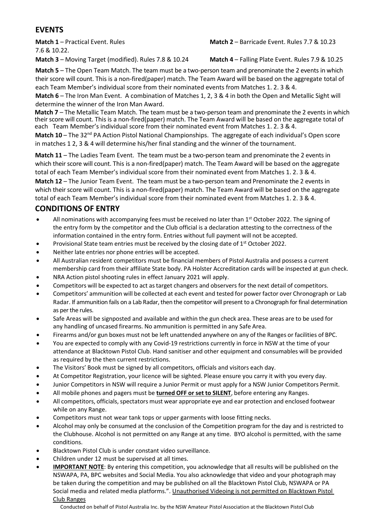#### **EVENTS**

**Match 1** – Practical Event. Rules 7.6 & 10.22.

**Match 2** – Barricade Event. Rules 7.7 & 10.23

**Match 3** – Moving Target (modified). Rules 7.8 & 10.24 **Match 4** – Falling Plate Event. Rules 7.9 & 10.25

**Match 5** – The Open Team Match. The team must be a two-person team and prenominate the 2 events in which their score will count. This is a non-fired(paper) match. The Team Award will be based on the aggregate total of each Team Member's individual score from their nominated events from Matches 1. 2. 3 & 4.

**Match 6** – The Iron Man Event. A combination of Matches 1, 2, 3 & 4 in both the Open and Metallic Sight will determine the winner of the Iron Man Award.

**Match 7** – The Metallic Team Match. The team must be a two-person team and prenominate the 2 events in which their score will count. This is a non-fired(paper) match. The Team Award will be based on the aggregate total of each Team Member's individual score from their nominated event from Matches 1. 2. 3 & 4.

**Match 10** – The 32<sup>nd</sup> PA Action Pistol National Championships. The aggregate of each individual's Open score in matches 1 2, 3 & 4 will determine his/her final standing and the winner of the tournament.

**Match 11** – The Ladies Team Event. The team must be a two-person team and prenominate the 2 events in which their score will count. This is a non-fired(paper) match. The Team Award will be based on the aggregate total of each Team Member's individual score from their nominated event from Matches 1. 2. 3 & 4.

**Match 12** – The Junior Team Event. The team must be a two-person team and Prenominate the 2 events in which their score will count. This is a non-fired(paper) match. The Team Award will be based on the aggregate total of each Team Member's individual score from their nominated event from Matches 1. 2. 3 & 4.

### **CONDITIONS OF ENTRY**

- All nominations with accompanying fees must be received no later than  $1<sup>st</sup>$  October 2022. The signing of the entry form by the competitor and the Club official is a declaration attesting to the correctness of the information contained in the entry form. Entries without full payment will not be accepted.
- Provisional State team entries must be received by the closing date of 1<sup>st</sup> October 2022.
- Neither late entries nor phone entries will be accepted.
- All Australian resident competitors must be financial members of Pistol Australia and possess a current membership card from their affiliate State body. PA Holster Accreditation cards will be inspected at gun check.
- NRA Action pistol shooting rules in effect January 2021 will apply.
- Competitors will be expected to act astarget changers and observers for the next detail of competitors.
- Competitors' ammunition will be collected at each event and tested for power factor over Chronograph or Lab Radar. If ammunition fails on a Lab Radar, then the competitor will present to a Chronograph for final determination as per the rules.
- Safe Areas will be signposted and available and within the gun check area. These areas are to be used for any handling of uncased firearms. No ammunition is permitted in any Safe Area.
- Firearms and/or gun boxes must not be left unattended anywhere on any of the Ranges or facilities of BPC.
- You are expected to comply with any Covid-19 restrictions currently in force in NSW at the time of your attendance at Blacktown Pistol Club. Hand sanitiser and other equipment and consumables will be provided as required by the then current restrictions.
- The Visitors' Book must be signed by all competitors, officials and visitors each day.
- At Competitor Registration, your licence will be sighted. Please ensure you carry it with you every day.
- Junior Competitors in NSW will require a Junior Permit or must apply for a NSW Junior Competitors Permit.
- All mobile phones and pagers must be **turned OFF or set to SILENT**, before entering any Ranges.
- All competitors, officials, spectators must wear appropriate eye and ear protection and enclosed footwear while on any Range.
- Competitors must not wear tank tops or upper garments with loose fitting necks.
- Alcohol may only be consumed at the conclusion of the Competition program for the day and is restricted to the Clubhouse. Alcohol is not permitted on any Range at any time. BYO alcohol is permitted, with the same conditions.
- Blacktown Pistol Club is under constant video surveillance.
- Children under 12 must be supervised at all times.
- **IMPORTANT NOTE**: By entering this competition, you acknowledge that all results will be published on the NSWAPA, PA, BPC websites and Social Media. You also acknowledge that video and your photograph may be taken during the competition and may be published on all the Blacktown Pistol Club, NSWAPA or PA Social media and related media platforms.". Unauthorised Videoing is not permitted on Blacktown Pistol Club Ranges

Conducted on behalf of Pistol Australia Inc. by the NSW Amateur Pistol Association at the Blacktown Pistol Club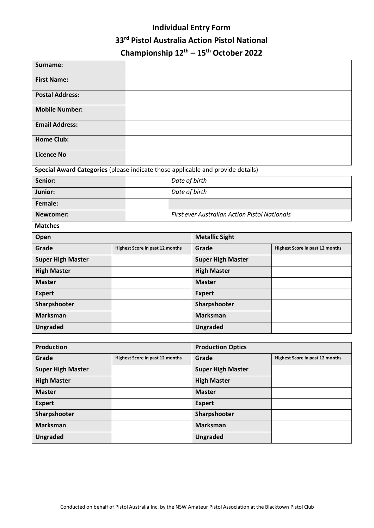## **Individual Entry Form 33rd Pistol Australia Action Pistol National Championship 12th – 15th October 2022**

| Surname:                                                                        |                                 |  |                                                      |                          |                                 |
|---------------------------------------------------------------------------------|---------------------------------|--|------------------------------------------------------|--------------------------|---------------------------------|
| <b>First Name:</b>                                                              |                                 |  |                                                      |                          |                                 |
| <b>Postal Address:</b>                                                          |                                 |  |                                                      |                          |                                 |
| <b>Mobile Number:</b>                                                           |                                 |  |                                                      |                          |                                 |
| <b>Email Address:</b>                                                           |                                 |  |                                                      |                          |                                 |
| <b>Home Club:</b>                                                               |                                 |  |                                                      |                          |                                 |
| <b>Licence No</b>                                                               |                                 |  |                                                      |                          |                                 |
| Special Award Categories (please indicate those applicable and provide details) |                                 |  |                                                      |                          |                                 |
| Senior:                                                                         |                                 |  | Date of birth                                        |                          |                                 |
| Junior:                                                                         |                                 |  | Date of birth                                        |                          |                                 |
| Female:                                                                         |                                 |  |                                                      |                          |                                 |
| Newcomer:                                                                       |                                 |  | <b>First ever Australian Action Pistol Nationals</b> |                          |                                 |
| <b>Matches</b>                                                                  |                                 |  |                                                      |                          |                                 |
| Open                                                                            |                                 |  | <b>Metallic Sight</b>                                |                          |                                 |
| Grade                                                                           | Highest Score in past 12 months |  |                                                      | Grade                    | Highest Score in past 12 months |
| <b>Super High Master</b>                                                        |                                 |  |                                                      | <b>Super High Master</b> |                                 |
| <b>High Master</b>                                                              |                                 |  |                                                      | <b>High Master</b>       |                                 |
| <b>Master</b>                                                                   |                                 |  |                                                      | <b>Master</b>            |                                 |
| <b>Expert</b>                                                                   |                                 |  |                                                      | <b>Expert</b>            |                                 |
| Sharpshooter                                                                    |                                 |  |                                                      | Sharpshooter             |                                 |
| <b>Marksman</b>                                                                 |                                 |  |                                                      | <b>Marksman</b>          |                                 |
| <b>Ungraded</b>                                                                 |                                 |  |                                                      | <b>Ungraded</b>          |                                 |

| <b>Production</b>        |                                        | <b>Production Optics</b> |                                        |
|--------------------------|----------------------------------------|--------------------------|----------------------------------------|
| Grade                    | <b>Highest Score in past 12 months</b> | Grade                    | <b>Highest Score in past 12 months</b> |
| <b>Super High Master</b> |                                        | <b>Super High Master</b> |                                        |
| <b>High Master</b>       |                                        | <b>High Master</b>       |                                        |
| <b>Master</b>            |                                        | <b>Master</b>            |                                        |
| <b>Expert</b>            |                                        | <b>Expert</b>            |                                        |
| Sharpshooter             |                                        | Sharpshooter             |                                        |
| <b>Marksman</b>          |                                        | <b>Marksman</b>          |                                        |
| <b>Ungraded</b>          |                                        | <b>Ungraded</b>          |                                        |